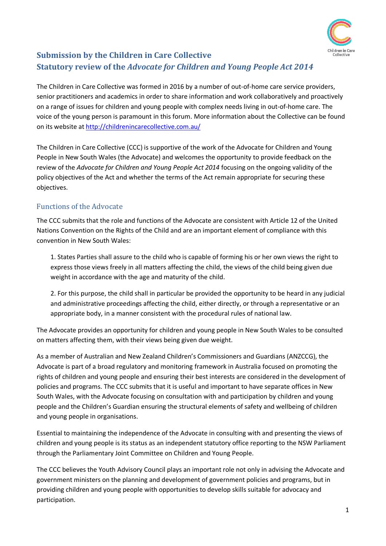

# **Submission by the Children in Care Collective Statutory review of the** *Advocate for Children and Young People Act 2014*

The Children in Care Collective was formed in 2016 by a number of out-of-home care service providers, senior practitioners and academics in order to share information and work collaboratively and proactively on a range of issues for children and young people with complex needs living in out-of-home care. The voice of the young person is paramount in this forum. More information about the Collective can be found on its website at<http://childrenincarecollective.com.au/>

The Children in Care Collective (CCC) is supportive of the work of the Advocate for Children and Young People in New South Wales (the Advocate) and welcomes the opportunity to provide feedback on the review of the *Advocate for Children and Young People Act 2014* focusing on the ongoing validity of the policy objectives of the Act and whether the terms of the Act remain appropriate for securing these objectives.

## Functions of the Advocate

The CCC submits that the role and functions of the Advocate are consistent with Article 12 of the United Nations Convention on the Rights of the Child and are an important element of compliance with this convention in New South Wales:

1. States Parties shall assure to the child who is capable of forming his or her own views the right to express those views freely in all matters affecting the child, the views of the child being given due weight in accordance with the age and maturity of the child.

2. For this purpose, the child shall in particular be provided the opportunity to be heard in any judicial and administrative proceedings affecting the child, either directly, or through a representative or an appropriate body, in a manner consistent with the procedural rules of national law.

The Advocate provides an opportunity for children and young people in New South Wales to be consulted on matters affecting them, with their views being given due weight.

As a member of Australian and New Zealand Children's Commissioners and Guardians (ANZCCG), the Advocate is part of a broad regulatory and monitoring framework in Australia focused on promoting the rights of children and young people and ensuring their best interests are considered in the development of policies and programs. The CCC submits that it is useful and important to have separate offices in New South Wales, with the Advocate focusing on consultation with and participation by children and young people and the Children's Guardian ensuring the structural elements of safety and wellbeing of children and young people in organisations.

Essential to maintaining the independence of the Advocate in consulting with and presenting the views of children and young people is its status as an independent statutory office reporting to the NSW Parliament through the Parliamentary Joint Committee on Children and Young People.

The CCC believes the Youth Advisory Council plays an important role not only in advising the Advocate and government ministers on the planning and development of government policies and programs, but in providing children and young people with opportunities to develop skills suitable for advocacy and participation.